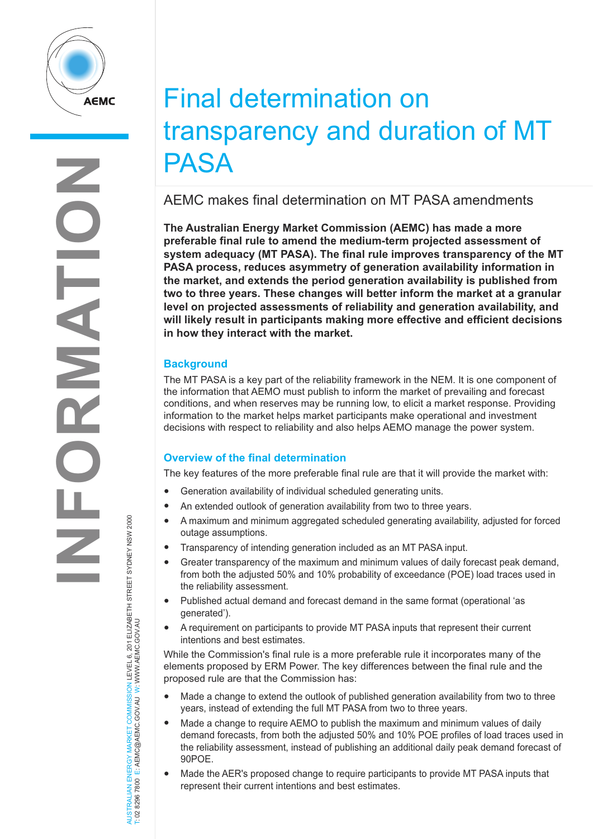

# Final determination on transparency and duration of MT PASA

AEMC makes final determination on MT PASA amendments

**The Australian Energy Market Commission (AEMC) has made a more preferable final rule to amend the medium-term projected assessment of system adequacy (MT PASA). The final rule improves transparency of the MT PASA process, reduces asymmetry of generation availability information in the market, and extends the period generation availability is published from two to three years. These changes will better inform the market at a granular level on projected assessments of reliability and generation availability, and will likely result in participants making more effective and efficient decisions in how they interact with the market.**

## **Background**

The MT PASA is a key part of the reliability framework in the NEM. It is one component of the information that AEMO must publish to inform the market of prevailing and forecast conditions, and when reserves may be running low, to elicit a market response. Providing information to the market helps market participants make operational and investment decisions with respect to reliability and also helps AEMO manage the power system.

## **Overview of the final determination**

The key features of the more preferable final rule are that it will provide the market with:

- Generation availability of individual scheduled generating units.
- An extended outlook of generation availability from two to three years.
- A maximum and minimum aggregated scheduled generating availability, adjusted for forced outage assumptions.
- Transparency of intending generation included as an MT PASA input.
- Greater transparency of the maximum and minimum values of daily forecast peak demand, from both the adjusted 50% and 10% probability of exceedance (POE) load traces used in the reliability assessment.
- Published actual demand and forecast demand in the same format (operational 'as generated').
- A requirement on participants to provide MT PASA inputs that represent their current intentions and best estimates.

While the Commission's final rule is a more preferable rule it incorporates many of the elements proposed by ERM Power. The key differences between the final rule and the proposed rule are that the Commission has:

- Made a change to extend the outlook of published generation availability from two to three years, instead of extending the full MT PASA from two to three years.
- Made a change to require AEMO to publish the maximum and minimum values of daily demand forecasts, from both the adjusted 50% and 10% POE profiles of load traces used in the reliability assessment, instead of publishing an additional daily peak demand forecast of 90POE.
- Made the AER's proposed change to require participants to provide MT PASA inputs that represent their current intentions and best estimates.

AUSTRALIAN ENERGY MARKET COMMISSION LEVEL 6, 201 ELIZABETH STREET SYDNEY NSW 2000<br>T: 02 8296 7800 E: AEMC@AEMC.GOV.AU W: WWW.AEMC.GOV.AU AUSTRALIAN ENERGY MARKET COMMISSION LEVEL 6, 201 ELIZABETH STREET SYDNEY NSW 2000 T: 02 8296 7800 E: AEMC@AEMC.GOV.AU W: WWW.AEMC.GOV.AU